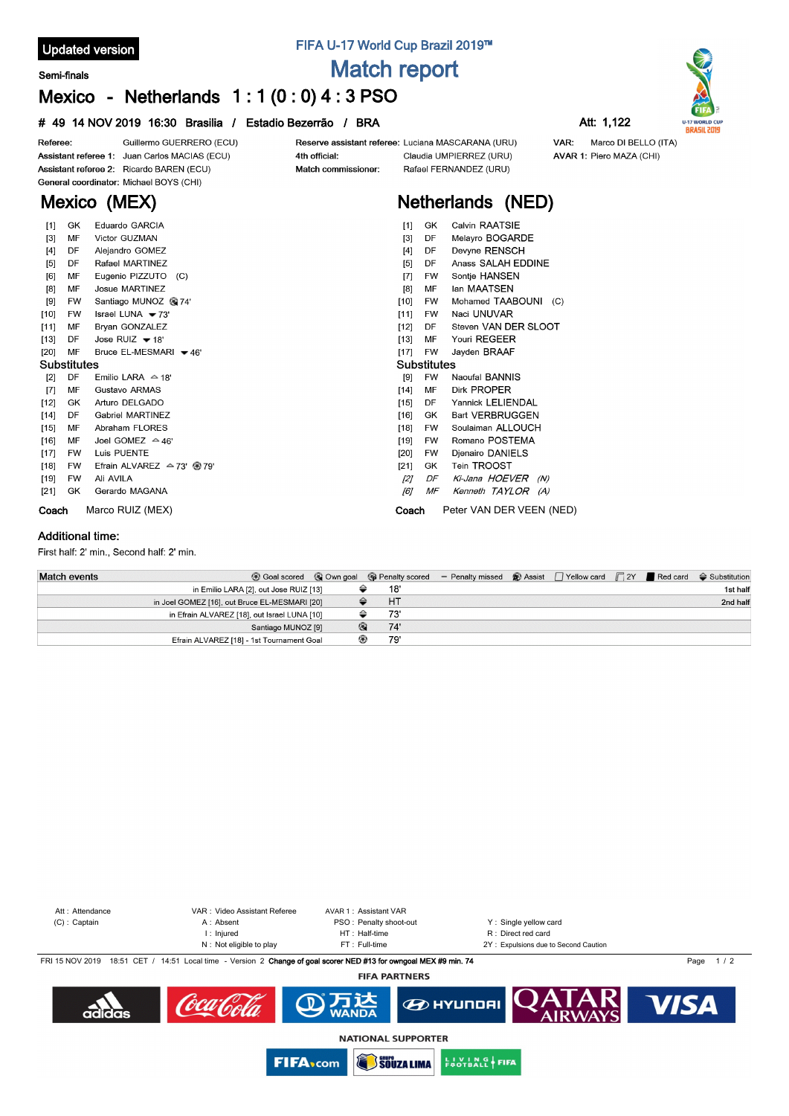### **Updated version**

#### **Semi-finals**

## **FIFA U-17 World Cup Brazil 2019™ Match report**

# **Mexico - Netherlands 1 : 1 (0 : 0) 4 : 3 PSO**

### **# 49 14 NOV 2019 16:30 Brasilia / Estadio Bezerrão / BRA Att: 1,122**



AVAR 1: Piero MAZA (CHI)



Guillermo GUERRERO (ECU) Referee: Reserve assistant referee: Luciana MASCARANA (URU) Assistant referee 1: Juan Carlos MACIAS (ECU) 4th official: Claudia UMPIERREZ (URU) Assistant referee 2: Ricardo BAREN (ECU) Match commissioner: Rafael FERNANDEZ (URU) General coordinator: Michael BOYS (CHI) **Mexico (MEX)**

## **Netherlands (NED)**

| $[1]$              | GK        | Eduardo GARCIA                        | Calvin RAATSIE<br>GK<br>$[1]$               |
|--------------------|-----------|---------------------------------------|---------------------------------------------|
| [3]                | MF        | Victor GUZMAN                         | Melayro BOGARDE<br>$[3]$<br>DF              |
| $[4]$              | DF        | Alejandro GOMEZ                       | Devyne RENSCH<br>$[4]$<br>DF                |
| [5]                | DF        | Rafael MARTINEZ                       | Anass SALAH EDDINE<br>[5]<br>DF             |
| [6]                | MF        | Eugenio PIZZUTO (C)                   | Sontje HANSEN<br>$\lceil 7 \rceil$<br>FW    |
| $[8]$              | MF        | Josue MARTINEZ                        | lan MAATSEN<br>[8]<br>MF                    |
| $[9]$              | <b>FW</b> | Santiago MUNOZ @ 74'                  | Mohamed TAABOUNI (C)<br>$[10]$<br><b>FW</b> |
| [10]               | <b>FW</b> | Israel LUNA $\blacktriangleright$ 73' | Naci UNUVAR<br>[11]<br><b>FW</b>            |
| [11]               | MF        | Brvan GONZALEZ                        | Steven VAN DER SLOOT<br>$[12]$<br>DF        |
| [13]               | DF        | Jose RUIZ $\blacktriangleright$ 18'   | Youri REGEER<br>[13]<br>МF                  |
| $[20]$             | MF        | Bruce EL-MESMARI <del>v</del> 46'     | Jayden BRAAF<br>$[17]$<br><b>FW</b>         |
| <b>Substitutes</b> |           |                                       | <b>Substitutes</b>                          |
| $[2]$              | DF        | Emilio LARA $\triangle$ 18'           | Naoufal BANNIS<br><b>FW</b><br>[9]          |
| $\sqrt{7}$         | MF        | Gustavo ARMAS                         | Dirk PROPER<br>MF<br>$[14]$                 |
| $[12]$             | GK        | Arturo DELGADO                        | Yannick LELIENDAL<br>[15]<br>DF             |
| $[14]$             | DF        | <b>Gabriel MARTINEZ</b>               | <b>Bart VERBRUGGEN</b><br>$[16]$<br>GK      |
| $[15]$             | MF        | Abraham FLORES                        | Soulaiman ALLOUCH<br>$[18]$<br><b>FW</b>    |
| $[16]$             | MF        | Joel GOMEZ $\approx$ 46'              | Romano POSTEMA<br>[19]<br>FW                |
| [17]               | FW        | Luis PUENTE                           | Djenairo DANIELS<br>$[20]$<br>FW            |
| $[18]$             | FW        | Efrain ALVAREZ $\approx$ 73' @ 79'    | Tein TROOST<br>[21]<br>GK                   |
| $[19]$             | <b>FW</b> | Ali AVILA                             | DF<br>Ki-Jana HOEVER<br>$[2]$<br>(N)        |
| $[21]$             | GK        | Gerardo MAGANA                        | MF<br>Kenneth TAYLOR (A)<br>[6]             |
| Coach              |           | Marco RUIZ (MEX)                      | Peter VAN DER VEEN (NED)<br>Coach           |

#### **Additional time:**

First half: 2' min., Second half: 2' min.

| <b>Match events</b>                           |                                        |   |           | ⊙ Goal scored © Own goal © Penalty scored – Penalty missed © Assist   Yellow card   2Y   Red card $\Leftrightarrow$ Substitution |  |  |          |
|-----------------------------------------------|----------------------------------------|---|-----------|----------------------------------------------------------------------------------------------------------------------------------|--|--|----------|
|                                               | in Emilio LARA [2], out Jose RUIZ [13] |   | 18'       |                                                                                                                                  |  |  | 1st half |
| in Joel GOMEZ [16], out Bruce EL-MESMARI [20] |                                        |   | <b>HT</b> |                                                                                                                                  |  |  | 2nd half |
| in Efrain ALVAREZ [18], out Israel LUNA [10]  |                                        |   | 73'       |                                                                                                                                  |  |  |          |
|                                               | Santiago MUNOZ [9]                     | Q | 74'       |                                                                                                                                  |  |  |          |
| Efrain ALVAREZ [18] - 1st Tournament Goal     |                                        |   | 79'       |                                                                                                                                  |  |  |          |